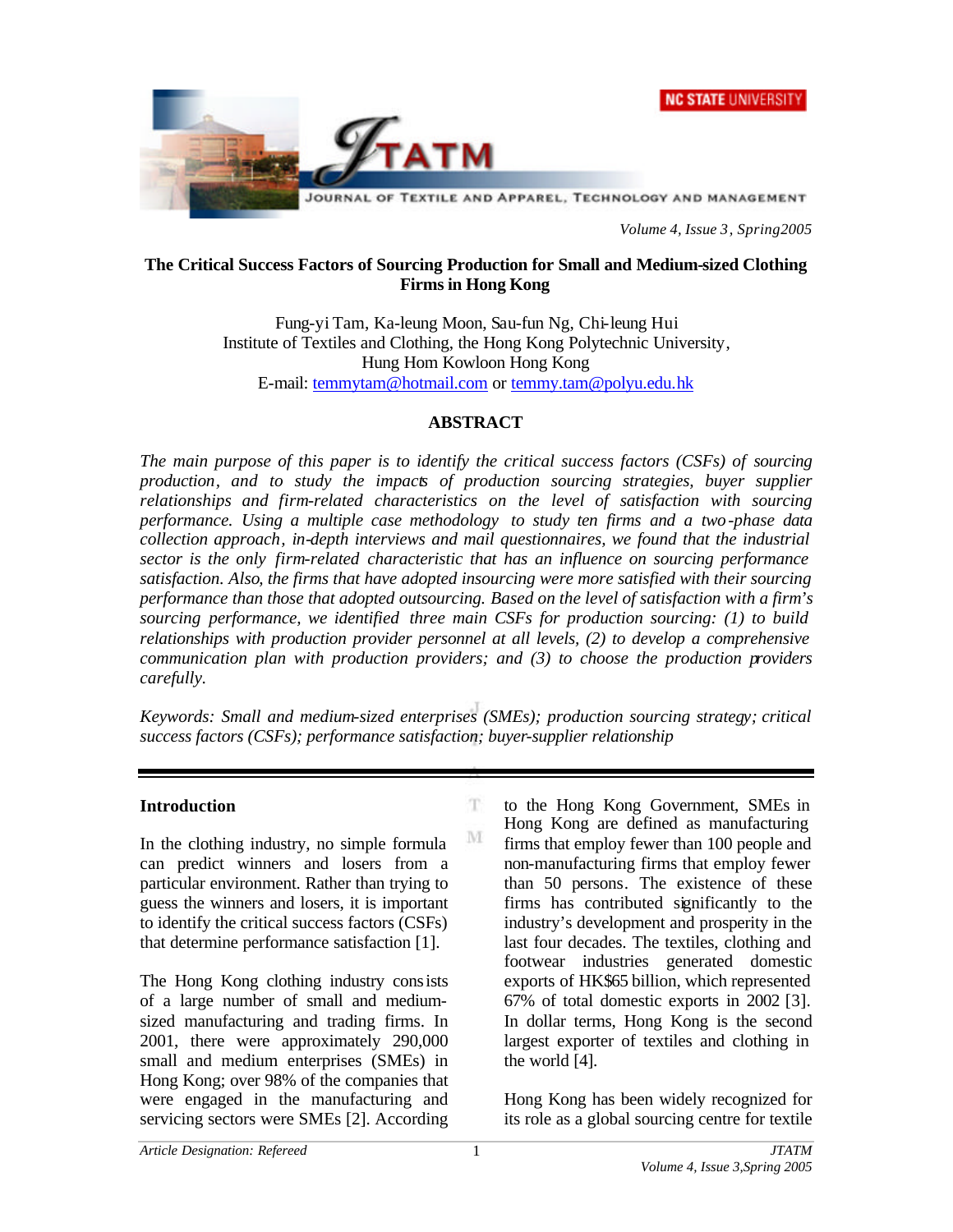



*Volume 4, Issue 3, Spring2005*

#### **The Critical Success Factors of Sourcing Production for Small and Medium-sized Clothing Firms in Hong Kong**

Fung-yi Tam, Ka-leung Moon, Sau-fun Ng, Chi-leung Hui Institute of Textiles and Clothing, the Hong Kong Polytechnic University, Hung Hom Kowloon Hong Kong E-mail: temmytam@hotmail.com or temmy.tam@polyu.edu.hk

## **ABSTRACT**

*The main purpose of this paper is to identify the critical success factors (CSFs) of sourcing production, and to study the impacts of production sourcing strategies, buyer supplier relationships and firm-related characteristics on the level of satisfaction with sourcing performance. Using a multiple case methodology to study ten firms and a two-phase data collection approach, in-depth interviews and mail questionnaires, we found that the industrial sector is the only firm-related characteristic that has an influence on sourcing performance satisfaction. Also, the firms that have adopted insourcing were more satisfied with their sourcing performance than those that adopted outsourcing. Based on the level of satisfaction with a firm's sourcing performance, we identified three main CSFs for production sourcing: (1) to build relationships with production provider personnel at all levels, (2) to develop a comprehensive communication plan with production providers; and (3) to choose the production providers carefully.*

*Keywords: Small and medium-sized enterprises (SMEs); production sourcing strategy; critical success factors (CSFs); performance satisfaction; buyer-supplier relationship*

T.

M

## **Introduction**

In the clothing industry, no simple formula can predict winners and losers from a particular environment. Rather than trying to guess the winners and losers, it is important to identify the critical success factors (CSFs) that determine performance satisfaction [1].

The Hong Kong clothing industry consists of a large number of small and mediumsized manufacturing and trading firms. In 2001, there were approximately 290,000 small and medium enterprises (SMEs) in Hong Kong; over 98% of the companies that were engaged in the manufacturing and servicing sectors were SMEs [2]. According

to the Hong Kong Government, SMEs in Hong Kong are defined as manufacturing firms that employ fewer than 100 people and non-manufacturing firms that employ fewer than 50 persons. The existence of these firms has contributed significantly to the industry's development and prosperity in the last four decades. The textiles, clothing and footwear industries generated domestic exports of HK\$65 billion, which represented 67% of total domestic exports in 2002 [3]. In dollar terms, Hong Kong is the second largest exporter of textiles and clothing in the world [4].

Hong Kong has been widely recognized for its role as a global sourcing centre for textile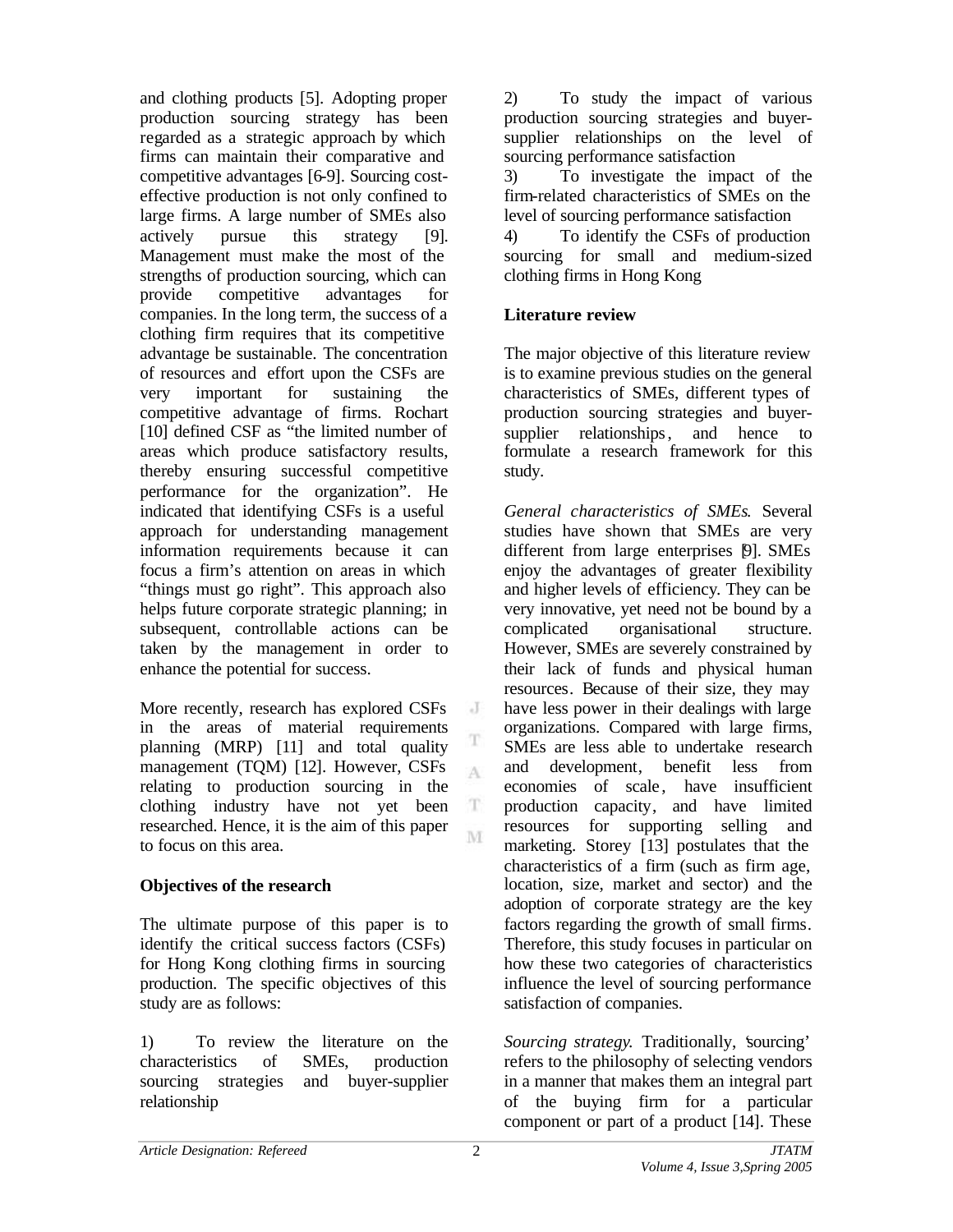and clothing products [5]. Adopting proper production sourcing strategy has been regarded as a strategic approach by which firms can maintain their comparative and competitive advantages [6-9]. Sourcing costeffective production is not only confined to large firms. A large number of SMEs also actively pursue this strategy [9]. Management must make the most of the strengths of production sourcing, which can provide competitive advantages for companies. In the long term, the success of a clothing firm requires that its competitive advantage be sustainable. The concentration of resources and effort upon the CSFs are very important for sustaining the competitive advantage of firms. Rochart [10] defined CSF as "the limited number of areas which produce satisfactory results, thereby ensuring successful competitive performance for the organization". He indicated that identifying CSFs is a useful approach for understanding management information requirements because it can focus a firm's attention on areas in which "things must go right". This approach also helps future corporate strategic planning; in subsequent, controllable actions can be taken by the management in order to enhance the potential for success.

More recently, research has explored CSFs in the areas of material requirements planning (MRP) [11] and total quality management (TQM) [12]. However, CSFs relating to production sourcing in the clothing industry have not yet been researched. Hence, it is the aim of this paper to focus on this area.

## **Objectives of the research**

The ultimate purpose of this paper is to identify the critical success factors (CSFs) for Hong Kong clothing firms in sourcing production. The specific objectives of this study are as follows:

1) To review the literature on the characteristics of SMEs, production sourcing strategies and buyer-supplier relationship

2) To study the impact of various production sourcing strategies and buyersupplier relationships on the level of sourcing performance satisfaction

3) To investigate the impact of the firm-related characteristics of SMEs on the level of sourcing performance satisfaction

4) To identify the CSFs of production sourcing for small and medium-sized clothing firms in Hong Kong

# **Literature review**

The major objective of this literature review is to examine previous studies on the general characteristics of SMEs, different types of production sourcing strategies and buyersupplier relationships, and hence to formulate a research framework for this study.

*General characteristics of SMEs*. Several studies have shown that SMEs are very different from large enterprises [9]. SMEs enjoy the advantages of greater flexibility and higher levels of efficiency. They can be very innovative, yet need not be bound by a complicated organisational structure. However, SMEs are severely constrained by their lack of funds and physical human resources. Because of their size, they may have less power in their dealings with large organizations. Compared with large firms, SMEs are less able to undertake research and development, benefit less from economies of scale, have insufficient production capacity, and have limited resources for supporting selling and marketing. Storey [13] postulates that the characteristics of a firm (such as firm age, location, size, market and sector) and the adoption of corporate strategy are the key factors regarding the growth of small firms. Therefore, this study focuses in particular on how these two categories of characteristics influence the level of sourcing performance satisfaction of companies.

*Sourcing strategy.* Traditionally, 'sourcing' refers to the philosophy of selecting vendors in a manner that makes them an integral part of the buying firm for a particular component or part of a product [14]. These

J

T A

 $\mathbf T$ M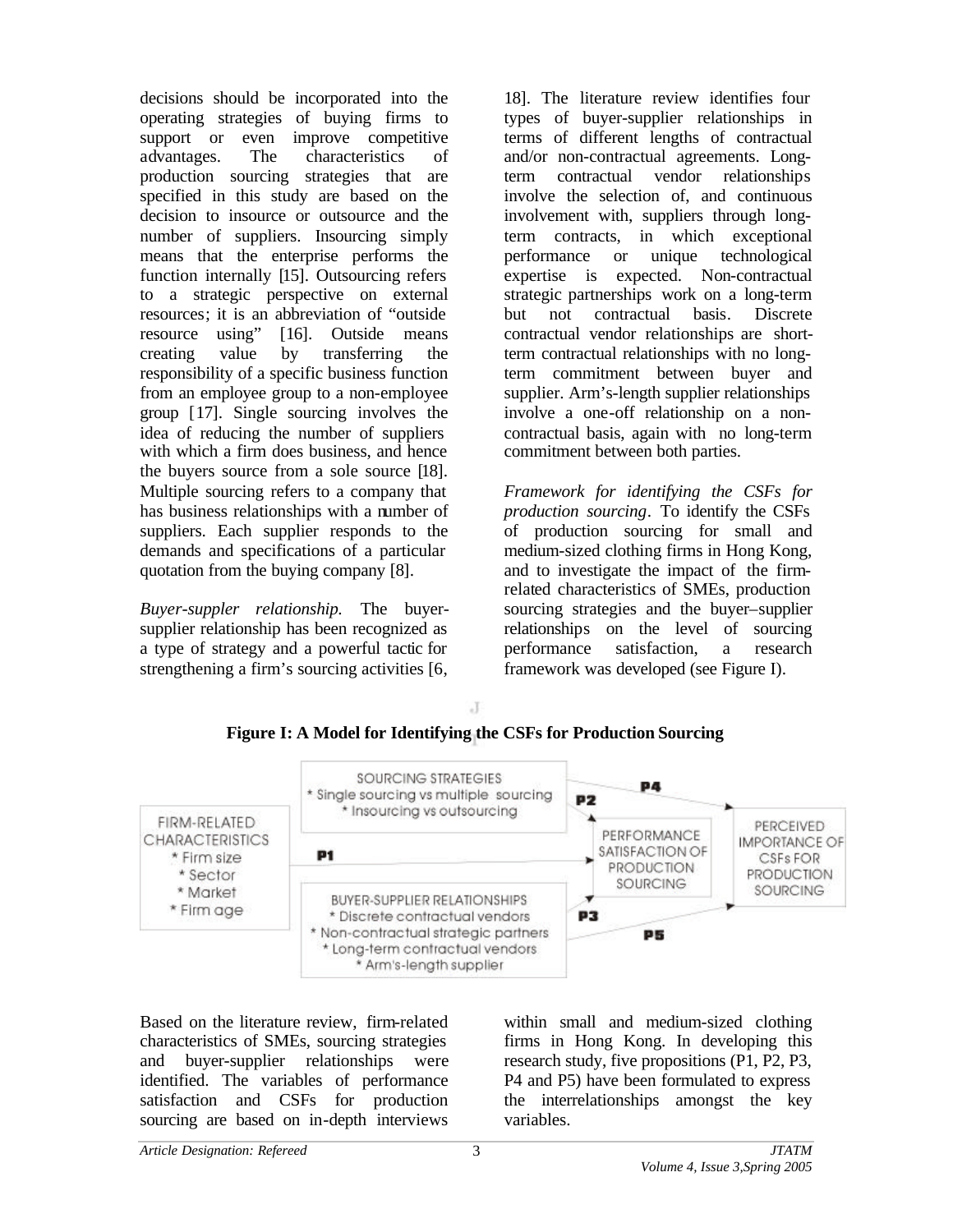decisions should be incorporated into the operating strategies of buying firms to support or even improve competitive advantages. The characteristics of production sourcing strategies that are specified in this study are based on the decision to insource or outsource and the number of suppliers. Insourcing simply means that the enterprise performs the function internally [15]. Outsourcing refers to a strategic perspective on external resources; it is an abbreviation of "outside resource using" [16]. Outside means creating value by transferring the responsibility of a specific business function from an employee group to a non-employee group [17]. Single sourcing involves the idea of reducing the number of suppliers with which a firm does business, and hence the buyers source from a sole source [18]. Multiple sourcing refers to a company that has business relationships with a number of suppliers. Each supplier responds to the demands and specifications of a particular quotation from the buying company [8].

*Buyer-suppler relationship.* The buyersupplier relationship has been recognized as a type of strategy and a powerful tactic for strengthening a firm's sourcing activities [6,

18]. The literature review identifies four types of buyer-supplier relationships in terms of different lengths of contractual and/or non-contractual agreements. Longterm contractual vendor relationships involve the selection of, and continuous involvement with, suppliers through longterm contracts, in which exceptional performance or unique technological expertise is expected. Non-contractual strategic partnerships work on a long-term but not contractual basis. Discrete contractual vendor relationships are shortterm contractual relationships with no longterm commitment between buyer and supplier. Arm's-length supplier relationships involve a one-off relationship on a noncontractual basis, again with no long-term commitment between both parties.

*Framework for identifying the CSFs for production sourcing.* To identify the CSFs of production sourcing for small and medium-sized clothing firms in Hong Kong, and to investigate the impact of the firmrelated characteristics of SMEs, production sourcing strategies and the buyer–supplier relationships on the level of sourcing performance satisfaction, a research framework was developed (see Figure I).



J

#### Based on the literature review, firm-related characteristics of SMEs, sourcing strategies and buyer-supplier relationships were identified. The variables of performance satisfaction and CSFs for production sourcing are based on in-depth interviews

within small and medium-sized clothing firms in Hong Kong. In developing this research study, five propositions (P1, P2, P3, P4 and P5) have been formulated to express the interrelationships amongst the key variables.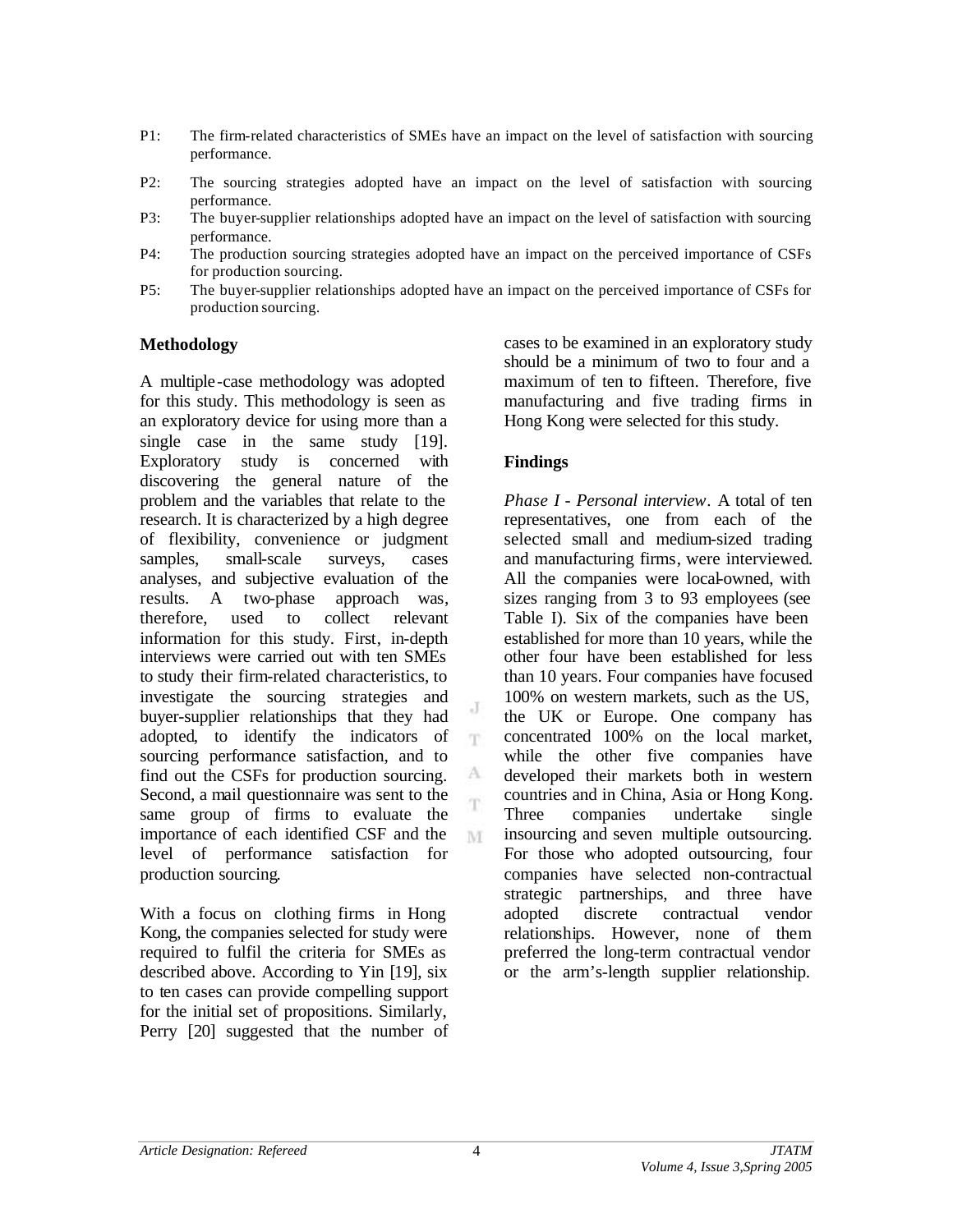- P1: The firm-related characteristics of SMEs have an impact on the level of satisfaction with sourcing performance.
- P2: The sourcing strategies adopted have an impact on the level of satisfaction with sourcing performance.
- P3: The buyer-supplier relationships adopted have an impact on the level of satisfaction with sourcing performance.
- P4: The production sourcing strategies adopted have an impact on the perceived importance of CSFs for production sourcing.
- P5: The buyer-supplier relationships adopted have an impact on the perceived importance of CSFs for production sourcing.

J T

A Ŧ

M

#### **Methodology**

A multiple-case methodology was adopted for this study. This methodology is seen as an exploratory device for using more than a single case in the same study [19]. Exploratory study is concerned with discovering the general nature of the problem and the variables that relate to the research. It is characterized by a high degree of flexibility, convenience or judgment samples, small-scale surveys, cases analyses, and subjective evaluation of the results. A two-phase approach was, therefore, used to collect relevant information for this study. First, in-depth interviews were carried out with ten SMEs to study their firm-related characteristics, to investigate the sourcing strategies and buyer-supplier relationships that they had adopted, to identify the indicators of sourcing performance satisfaction, and to find out the CSFs for production sourcing. Second, a mail questionnaire was sent to the same group of firms to evaluate the importance of each identified CSF and the level of performance satisfaction for production sourcing.

With a focus on clothing firms in Hong Kong, the companies selected for study were required to fulfil the criteria for SMEs as described above. According to Yin [19], six to ten cases can provide compelling support for the initial set of propositions. Similarly, Perry [20] suggested that the number of

cases to be examined in an exploratory study should be a minimum of two to four and a maximum of ten to fifteen. Therefore, five manufacturing and five trading firms in Hong Kong were selected for this study.

## **Findings**

*Phase I - Personal interview.* A total of ten representatives, one from each of the selected small and medium-sized trading and manufacturing firms, were interviewed. All the companies were local-owned, with sizes ranging from 3 to 93 employees (see Table I). Six of the companies have been established for more than 10 years, while the other four have been established for less than 10 years. Four companies have focused 100% on western markets, such as the US, the UK or Europe. One company has concentrated 100% on the local market, while the other five companies have developed their markets both in western countries and in China, Asia or Hong Kong. Three companies undertake single insourcing and seven multiple outsourcing. For those who adopted outsourcing, four companies have selected non-contractual strategic partnerships, and three have adopted discrete contractual vendor relationships. However, none of them preferred the long-term contractual vendor or the arm's-length supplier relationship.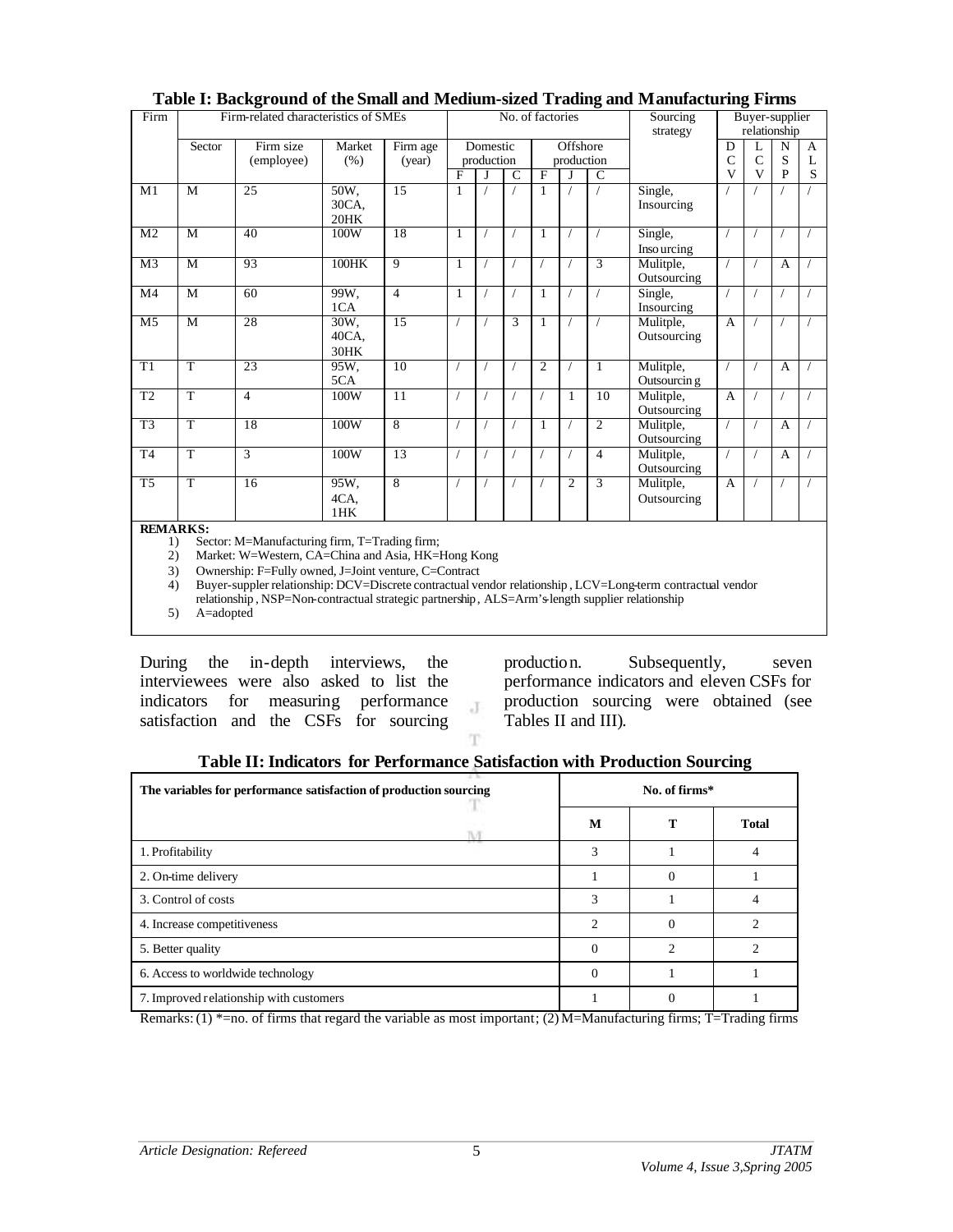| Firm                                    | Firm-related characteristics of SMEs |                                                                                                                                                                                                                                                                                                                                                                                                                                                              |                       |                    |              |                        | No. of factories |                |                        |                | Sourcing<br>strategy                                                                                       |             | Buyer-supplier<br>relationship                |             |             |  |
|-----------------------------------------|--------------------------------------|--------------------------------------------------------------------------------------------------------------------------------------------------------------------------------------------------------------------------------------------------------------------------------------------------------------------------------------------------------------------------------------------------------------------------------------------------------------|-----------------------|--------------------|--------------|------------------------|------------------|----------------|------------------------|----------------|------------------------------------------------------------------------------------------------------------|-------------|-----------------------------------------------|-------------|-------------|--|
|                                         | Sector                               | Firm size<br>(employee)                                                                                                                                                                                                                                                                                                                                                                                                                                      | Market<br>(% )        | Firm age<br>(year) | $\mathbf{F}$ | Domestic<br>production | $\mathcal{C}$    | $_{\rm F}$     | Offshore<br>production | $\mathcal{C}$  |                                                                                                            | D<br>Ċ<br>v | L<br>$\mathcal{C}$<br>$\overline{\mathbf{V}}$ | N<br>S<br>P | A<br>L<br>S |  |
| M1                                      | M                                    | $\overline{25}$                                                                                                                                                                                                                                                                                                                                                                                                                                              | 50W,<br>30CA,<br>20HK | $\overline{15}$    | 1            |                        |                  | 1              |                        |                | Single,<br>Insourcing                                                                                      |             |                                               |             |             |  |
| M <sub>2</sub>                          | $\overline{M}$                       | 40                                                                                                                                                                                                                                                                                                                                                                                                                                                           | 100W                  | 18                 | 1            |                        |                  | 1              |                        |                | Single,<br>Inso urcing                                                                                     |             |                                               |             |             |  |
| $\overline{M3}$                         | $\overline{M}$                       | 93                                                                                                                                                                                                                                                                                                                                                                                                                                                           | $100$ HK              | 9                  | 1            |                        |                  |                |                        | $\overline{3}$ | Mulitple,<br>Outsourcing                                                                                   |             |                                               | A           |             |  |
| M4                                      | M                                    | 60                                                                                                                                                                                                                                                                                                                                                                                                                                                           | 99W,<br>1CA           | $\overline{4}$     | 1            |                        |                  | 1              |                        |                | Single,<br>Insourcing                                                                                      |             |                                               |             |             |  |
| M <sub>5</sub>                          | $\overline{M}$                       | 28                                                                                                                                                                                                                                                                                                                                                                                                                                                           | 30W,<br>40CA,<br>30HK | $\overline{15}$    |              |                        | $\overline{3}$   | $\mathbf{1}$   |                        |                | Mulitple,<br>Outsourcing                                                                                   | A           |                                               |             |             |  |
| T1                                      | $\overline{T}$                       | 23                                                                                                                                                                                                                                                                                                                                                                                                                                                           | 95W.<br>5CA           | 10                 | 7            |                        |                  | $\overline{c}$ |                        | 1              | Mulitple,<br>Outsourcin g                                                                                  |             |                                               | A           |             |  |
| T <sub>2</sub>                          | $\overline{T}$                       | $\overline{4}$                                                                                                                                                                                                                                                                                                                                                                                                                                               | 100W                  | 11                 |              |                        |                  |                | 1                      | 10             | Mulitple,<br>Outsourcing                                                                                   | A           |                                               |             |             |  |
| T <sub>3</sub>                          | T                                    | 18                                                                                                                                                                                                                                                                                                                                                                                                                                                           | 100W                  | $\overline{8}$     |              |                        |                  | 1              |                        | 2              | Mulitple,<br>Outsourcing                                                                                   |             |                                               | A           |             |  |
| T <sub>4</sub>                          | $\overline{T}$                       | $\overline{3}$                                                                                                                                                                                                                                                                                                                                                                                                                                               | 100W                  | $\overline{13}$    |              |                        |                  |                |                        | $\overline{4}$ | Mulitple,<br>Outsourcing                                                                                   |             |                                               | A           |             |  |
| $\overline{\text{T}5}$                  | $\overline{T}$                       | 16                                                                                                                                                                                                                                                                                                                                                                                                                                                           | 95W,<br>4CA,<br>1HK   | $\overline{8}$     |              |                        |                  |                | 2                      | 3              | Mulitple,<br>Outsourcing                                                                                   | A           |                                               |             |             |  |
| <b>REMARKS:</b><br>1)<br>2)<br>3)<br>4) |                                      | Sector: M=Manufacturing firm, T=Trading firm;<br>Market: W=Western, CA=China and Asia, HK=Hong Kong<br>Ownership: F=Fully owned, J=Joint venture, C=Contract<br>$\mathbf{A}$ and $\mathbf{A}$ are $\mathbf{A}$ and $\mathbf{A}$ are continued at $\mathbf{A}$ and $\mathbf{A}$ are $\mathbf{A}$ and $\mathbf{A}$ and $\mathbf{A}$ are $\mathbf{A}$ and $\mathbf{A}$ are $\mathbf{A}$ and $\mathbf{A}$ are $\mathbf{A}$ and $\mathbf{A}$ are $\mathbf{A}$ and |                       |                    |              |                        |                  |                |                        |                | Buyer-suppler relationship: DCV=Discrete contractual vendor relationship, LCV=Long-term contractual vendor |             |                                               |             |             |  |

#### **Table I: Background of the Small and Medium-sized Trading and Manufacturing Firms**

relationship , NSP=Non-contractual strategic partnership, ALS=Arm's-length supplier relationship

5) A=adopted

During the in-depth interviews, the interviewees were also asked to list the indicators for measuring performance satisfaction and the CSFs for sourcing

production. Subsequently, seven performance indicators and eleven CSFs for production sourcing were obtained (see Tables II and III).

| Table II: Indicators for Performance Satisfaction with Production Sourcing |  |  |
|----------------------------------------------------------------------------|--|--|

 ${\rm J}$ 

| The variables for performance satisfaction of production sourcing |   | No. of firms*  |              |  |  |  |  |
|-------------------------------------------------------------------|---|----------------|--------------|--|--|--|--|
|                                                                   | M | т              | <b>Total</b> |  |  |  |  |
| 1. Profitability                                                  | 3 |                |              |  |  |  |  |
| 2. On-time delivery                                               |   |                |              |  |  |  |  |
| 3. Control of costs                                               |   |                |              |  |  |  |  |
| 4. Increase competitiveness                                       | 2 |                |              |  |  |  |  |
| 5. Better quality                                                 | 0 | $\mathfrak{D}$ |              |  |  |  |  |
| 6. Access to worldwide technology                                 | 0 |                |              |  |  |  |  |
| 7. Improved relationship with customers                           |   |                |              |  |  |  |  |

Remarks: (1) \*=no. of firms that regard the variable as most important; (2) M=Manufacturing firms; T=Trading firms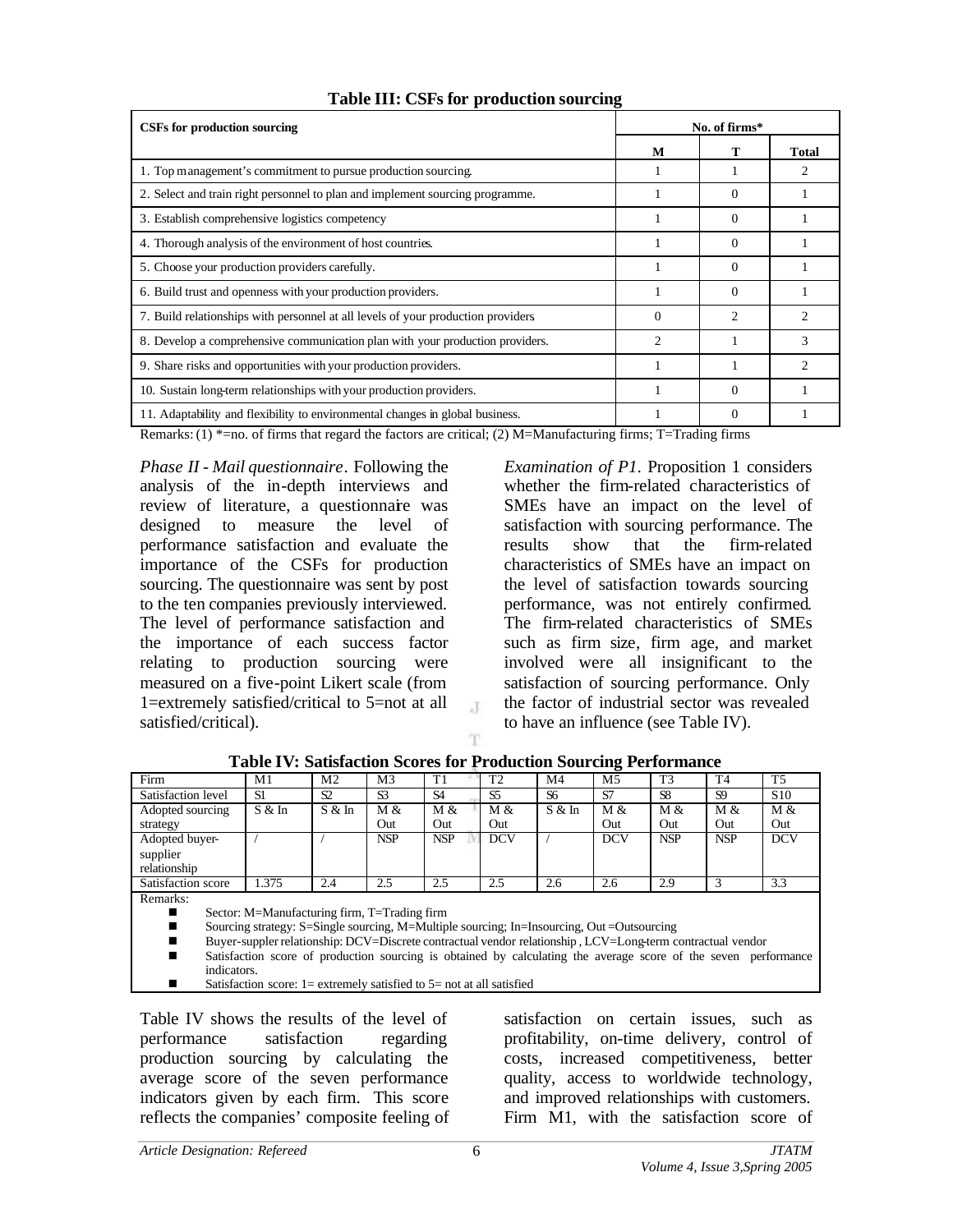| CSFs for production sourcing                                                     | No. of firms* |          |       |  |  |
|----------------------------------------------------------------------------------|---------------|----------|-------|--|--|
|                                                                                  | M             |          | Total |  |  |
| 1. Top management's commitment to pursue production sourcing.                    |               |          |       |  |  |
| 2. Select and train right personnel to plan and implement sourcing programme.    |               | 0        |       |  |  |
| 3. Establish comprehensive logistics competency                                  |               | $\Omega$ |       |  |  |
| 4. Thorough analysis of the environment of host countries.                       |               | $\Omega$ |       |  |  |
| 5. Choose your production providers carefully.                                   |               | $\Omega$ |       |  |  |
| 6. Build trust and openness with your production providers.                      |               | $\Omega$ |       |  |  |
| 7. Build relationships with personnel at all levels of your production providers | $\Omega$      | 2        |       |  |  |
| 8. Develop a comprehensive communication plan with your production providers.    | っ             |          | 3     |  |  |
| 9. Share risks and opportunities with your production providers.                 |               |          | っ     |  |  |
| 10. Sustain long-term relationships with your production providers.              |               | $\Omega$ |       |  |  |
| 11. Adaptability and flexibility to environmental changes in global business.    |               | 0        |       |  |  |

# **Table III: CSFs for production sourcing**

Remarks: (1)  $\overline{X}$  = no. of firms that regard the factors are critical; (2) M=Manufacturing firms; T=Trading firms

*Phase II - Mail questionnaire.* Following the analysis of the in-depth interviews and review of literature, a questionnaire was designed to measure the level of performance satisfaction and evaluate the importance of the CSFs for production sourcing. The questionnaire was sent by post to the ten companies previously interviewed. The level of performance satisfaction and the importance of each success factor relating to production sourcing were measured on a five-point Likert scale (from 1=extremely satisfied/critical to 5=not at all satisfied/critical).

*Examination of P1*. Proposition 1 considers whether the firm-related characteristics of SMEs have an impact on the level of satisfaction with sourcing performance. The results show that the firm-related characteristics of SMEs have an impact on the level of satisfaction towards sourcing performance, was not entirely confirmed. The firm-related characteristics of SMEs such as firm size, firm age, and market involved were all insignificant to the satisfaction of sourcing performance. Only the factor of industrial sector was revealed to have an influence (see Table IV).

| Firm                                                                                                                                                                                                     | M1     | M2     | M3             | T1             | T <sub>2</sub> | M4     | M <sub>5</sub> | T <sub>3</sub> | T <sub>4</sub> | T <sub>5</sub>  |
|----------------------------------------------------------------------------------------------------------------------------------------------------------------------------------------------------------|--------|--------|----------------|----------------|----------------|--------|----------------|----------------|----------------|-----------------|
| Satisfaction level                                                                                                                                                                                       | -S1    | S2     | S <sub>3</sub> | S <sub>4</sub> | S <sub>5</sub> | S6     | S7             | S <sub>8</sub> | S <sub>9</sub> | S <sub>10</sub> |
| Adopted sourcing                                                                                                                                                                                         | S & In | S & In | M &            | M &            | M &            | S & In | M &            | M &            | M &            | M &             |
| strategy                                                                                                                                                                                                 |        |        | Out            | Out            | Out            |        | Out            | Out            | Out            | Out             |
| Adopted buyer-                                                                                                                                                                                           |        |        | <b>NSP</b>     | <b>NSP</b>     | <b>DCV</b>     |        | <b>DCV</b>     | <b>NSP</b>     | <b>NSP</b>     | <b>DCV</b>      |
| supplier                                                                                                                                                                                                 |        |        |                |                |                |        |                |                |                |                 |
| relationship                                                                                                                                                                                             |        |        |                |                |                |        |                |                |                |                 |
| Satisfaction score                                                                                                                                                                                       | 1.375  | 2.4    | 2.5            | 2.5            | 2.5            | 2.6    | 2.6            | 2.9            |                | 3.3             |
| Remarks:                                                                                                                                                                                                 |        |        |                |                |                |        |                |                |                |                 |
| Sector: M=Manufacturing firm, T=Trading firm                                                                                                                                                             |        |        |                |                |                |        |                |                |                |                 |
| $\mathcal{C}_{\text{current}}$ and $\mathcal{C}_{\text{total}}$ and $\mathcal{C}_{\text{total}}$ and $\mathcal{C}_{\text{total}}$ and $\mathcal{C}_{\text{total}}$ and $\mathcal{C}_{\text{total}}$<br>- |        |        |                |                |                |        |                |                |                |                 |

#### **Table IV: Satisfaction Scores for Production Sourcing Performance**

 $\mathcal{X}$ 

n Sourcing strategy: S=Single sourcing, M=Multiple sourcing; In=Insourcing, Out =Outsourcing

- Buyer-suppler relationship: DCV=Discrete contractual vendor relationship , LCV=Long-term contractual vendor sources of production sourcing is obtained by calculating the average score of the seven perf
- Satisfaction score of production sourcing is obtained by calculating the average score of the seven performance indicators.
- Satisfaction score:  $1 =$  extremely satisfied to  $5 =$  not at all satisfied

Table IV shows the results of the level of performance satisfaction regarding production sourcing by calculating the average score of the seven performance indicators given by each firm. This score reflects the companies' composite feeling of satisfaction on certain issues, such as profitability, on-time delivery, control of costs, increased competitiveness, better quality, access to worldwide technology, and improved relationships with customers. Firm M1, with the satisfaction score of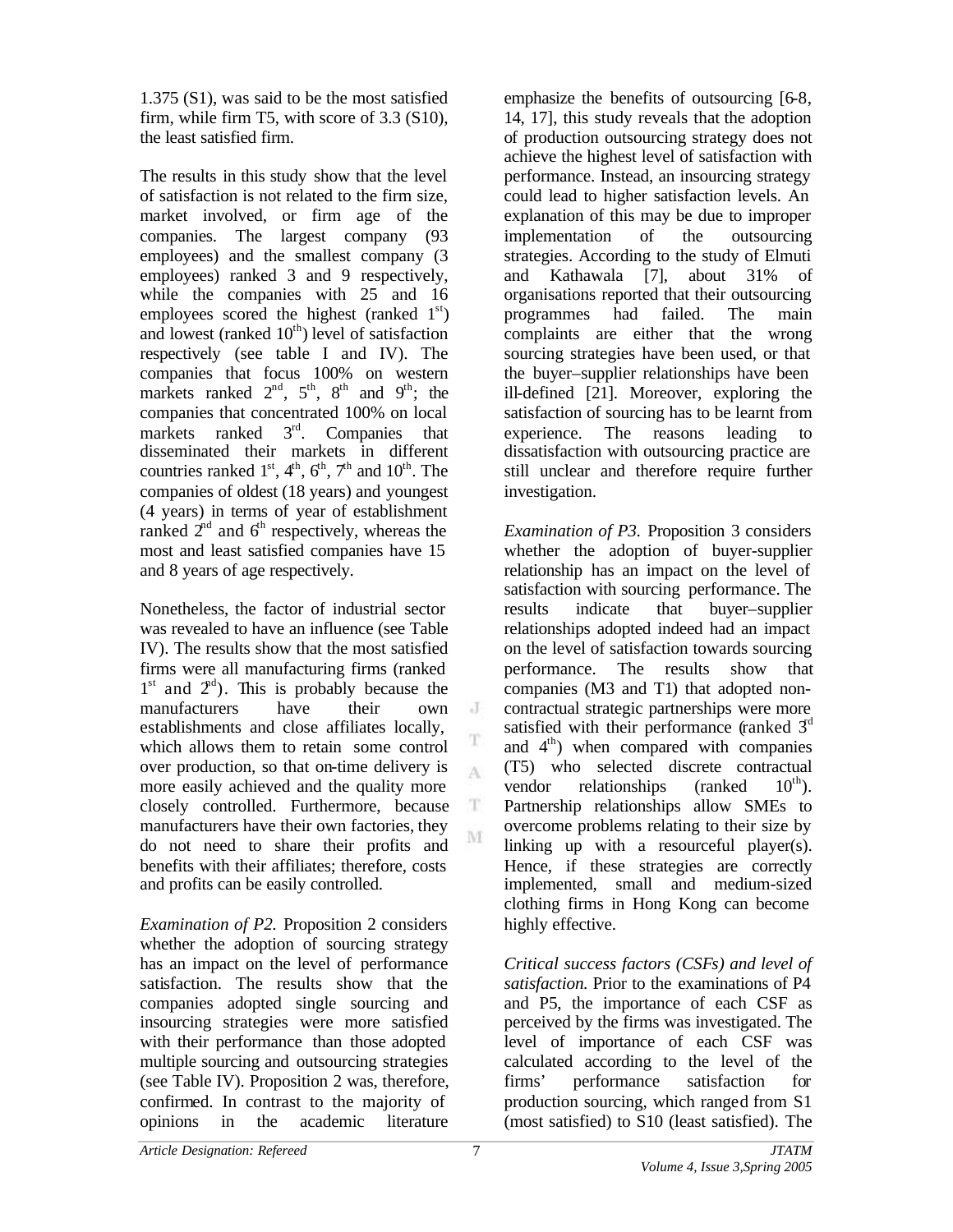1.375 (S1), was said to be the most satisfied firm, while firm T5, with score of 3.3 (S10), the least satisfied firm.

The results in this study show that the level of satisfaction is not related to the firm size, market involved, or firm age of the companies. The largest company (93 employees) and the smallest company (3 employees) ranked 3 and 9 respectively, while the companies with 25 and 16 employees scored the highest (ranked  $1<sup>st</sup>$ ) and lowest (ranked  $10<sup>th</sup>$ ) level of satisfaction respectively (see table I and IV). The companies that focus 100% on western markets ranked  $2^{nd}$ ,  $5^{th}$ ,  $8^{th}$  and  $9^{th}$ ; the companies that concentrated 100% on local markets ranked  $3<sup>rd</sup>$ . Companies that disseminated their markets in different countries ranked  $1<sup>st</sup>$ ,  $4<sup>th</sup>$ ,  $6<sup>th</sup>$ ,  $7<sup>th</sup>$  and  $10<sup>th</sup>$ . The companies of oldest (18 years) and youngest (4 years) in terms of year of establishment ranked  $2<sup>nd</sup>$  and  $6<sup>th</sup>$  respectively, whereas the most and least satisfied companies have 15 and 8 years of age respectively.

Nonetheless, the factor of industrial sector was revealed to have an influence (see Table IV). The results show that the most satisfied firms were all manufacturing firms (ranked  $1<sup>st</sup>$  and  $2<sup>nd</sup>$ ). This is probably because the manufacturers have their own establishments and close affiliates locally, which allows them to retain some control over production, so that on-time delivery is more easily achieved and the quality more closely controlled. Furthermore, because manufacturers have their own factories, they do not need to share their profits and benefits with their affiliates; therefore, costs and profits can be easily controlled.

*Examination of P2.* Proposition 2 considers whether the adoption of sourcing strategy has an impact on the level of performance satisfaction. The results show that the companies adopted single sourcing and insourcing strategies were more satisfied with their performance than those adopted multiple sourcing and outsourcing strategies (see Table IV). Proposition 2 was, therefore, confirmed. In contrast to the majority of opinions in the academic literature

emphasize the benefits of outsourcing [6-8, 14, 17], this study reveals that the adoption of production outsourcing strategy does not achieve the highest level of satisfaction with performance. Instead, an insourcing strategy could lead to higher satisfaction levels. An explanation of this may be due to improper implementation of the outsourcing strategies. According to the study of Elmuti and Kathawala [7], about 31% of organisations reported that their outsourcing programmes had failed. The main complaints are either that the wrong sourcing strategies have been used, or that the buyer–supplier relationships have been ill-defined [21]. Moreover, exploring the satisfaction of sourcing has to be learnt from experience. The reasons leading to dissatisfaction with outsourcing practice are still unclear and therefore require further investigation.

*Examination of P3.* Proposition 3 considers whether the adoption of buyer-supplier relationship has an impact on the level of satisfaction with sourcing performance. The results indicate that buyer–supplier relationships adopted indeed had an impact on the level of satisfaction towards sourcing performance. The results show that companies (M3 and T1) that adopted noncontractual strategic partnerships were more satisfied with their performance (ranked  $3<sup>d</sup>$ and 4 th) when compared with companies (T5) who selected discrete contractual vendor relationships (ranked  $10^{th}$ ). Partnership relationships allow SMEs to overcome problems relating to their size by linking up with a resourceful player(s). Hence, if these strategies are correctly implemented, small and medium-sized clothing firms in Hong Kong can become highly effective.

*Critical success factors (CSFs) and level of satisfaction.* Prior to the examinations of P4 and P5, the importance of each CSF as perceived by the firms was investigated. The level of importance of each CSF was calculated according to the level of the firms' performance satisfaction for production sourcing, which ranged from S1 (most satisfied) to S10 (least satisfied). The

 $\cdot$  J

A

Œ. M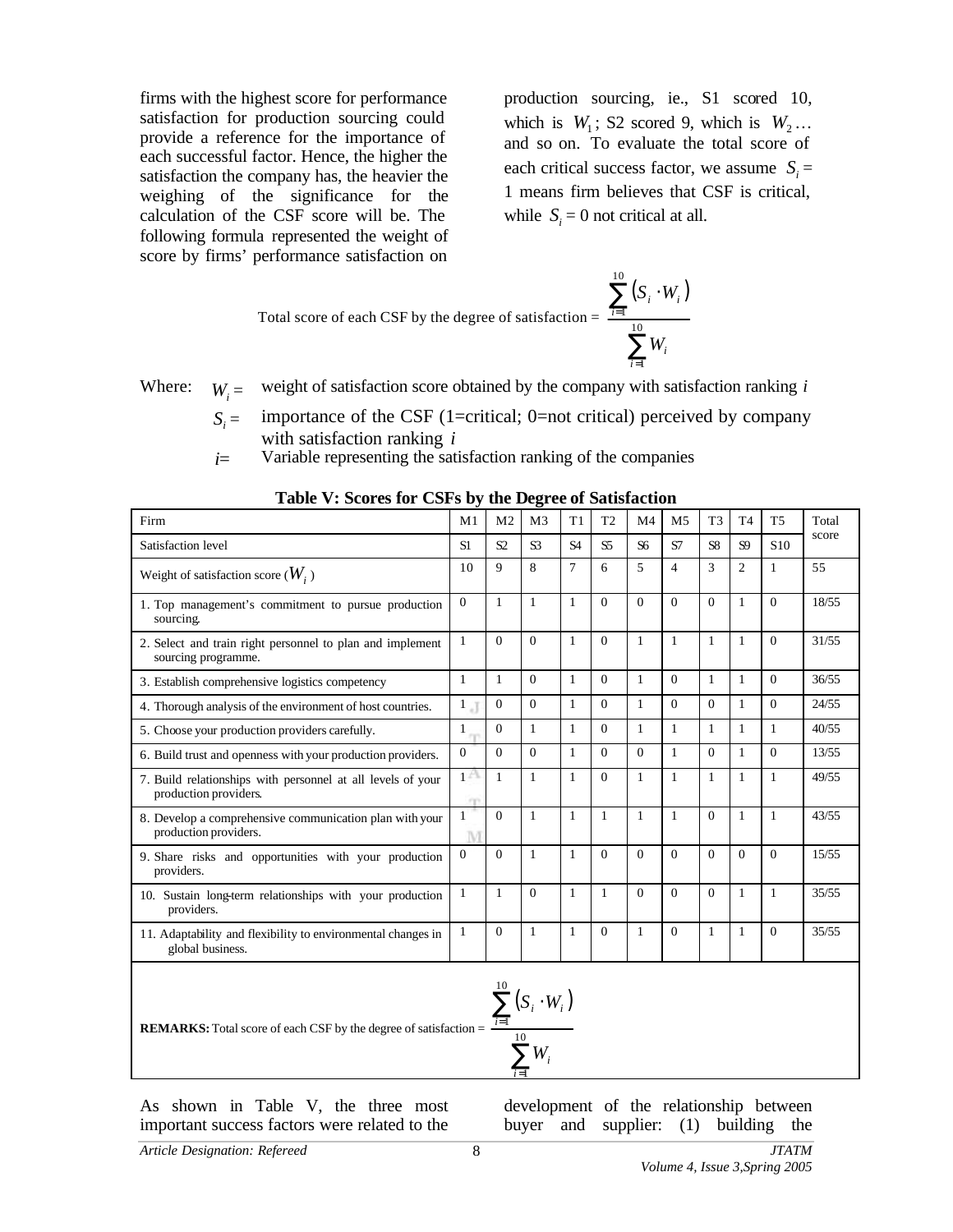firms with the highest score for performance satisfaction for production sourcing could provide a reference for the importance of each successful factor. Hence, the higher the satisfaction the company has, the heavier the weighing of the significance for the calculation of the CSF score will be. The following formula represented the weight of score by firms' performance satisfaction on

production sourcing, ie., S1 scored 10, which is  $W_1$ ; S2 scored 9, which is  $W_2...$ and so on. To evaluate the total score of each critical success factor, we assume  $S_i =$ 1 means firm believes that CSF is critical, while  $S_i = 0$  not critical at all.

 $(S_i \cdot W_i)$ 

*i i*

*i*

*W*

⋅

 $S_i \cdot W$ 

∑

10

=

*i*

1

∑

10

=

*i*

1

Total score of each CSF by the degree of satisfaction =

Where:  $W_i =$  weight of satisfaction score obtained by the company with satisfaction ranking *i* 

- $S_i$  = importance of the CSF (1=critical; 0=not critical) perceived by company with satisfaction ranking *i*
- $i =$  Variable representing the satisfaction ranking of the companies

| Table v. Scores for CSFs by the Degree of Satisfaction                               |                   |                |                        |                |                |                |                |                |                |                 |       |
|--------------------------------------------------------------------------------------|-------------------|----------------|------------------------|----------------|----------------|----------------|----------------|----------------|----------------|-----------------|-------|
| Firm                                                                                 | M1                | M <sub>2</sub> | M <sub>3</sub>         | T1             | T <sub>2</sub> | M <sub>4</sub> | M <sub>5</sub> | T <sub>3</sub> | T <sub>4</sub> | T <sub>5</sub>  | Total |
| Satisfaction level                                                                   |                   | S2             | S <sub>3</sub>         | S <sub>4</sub> | S <sub>5</sub> | S <sub>6</sub> | S7             | S <sub>8</sub> | S <sub>9</sub> | S <sub>10</sub> | score |
| Weight of satisfaction score $(W_i)$                                                 | 10                | 9              | 8                      | $\overline{7}$ | 6              | 5              | $\overline{4}$ | 3              | $\overline{2}$ | 1               | 55    |
| 1. Top management's commitment to pursue production<br>sourcing.                     | $\theta$          | $\mathbf{1}$   | 1                      | 1              | $\Omega$       | $\Omega$       | $\Omega$       | $\Omega$       | 1              | $\Omega$        | 18/55 |
| 2. Select and train right personnel to plan and implement<br>sourcing programme.     | $\mathbf{1}$      | $\Omega$       | $\Omega$               | 1              | $\mathbf{0}$   | 1              | 1              | $\mathbf{1}$   | 1              | $\Omega$        | 31/55 |
| 3. Establish comprehensive logistics competency                                      | $\mathbf{1}$      | 1              | $\theta$               | 1              | $\Omega$       | $\mathbf{1}$   | $\Omega$       | 1              | 1              | $\Omega$        | 36/55 |
| 4. Thorough analysis of the environment of host countries.                           | $1_{\alpha}$      | $\theta$       | $\theta$               | 1              | $\Omega$       | 1              | $\Omega$       | $\Omega$       | 1              | $\Omega$        | 24/55 |
| 5. Choose your production providers carefully.                                       |                   | $\Omega$       | 1                      | 1              | $\Omega$       | 1              | 1              | 1              | 1              | $\mathbf{1}$    | 40/55 |
| 6. Build trust and openness with your production providers.                          | $\mathbf{0}$      | $\mathbf{0}$   | $\Omega$               | $\mathbf{1}$   | $\mathbf{0}$   | $\overline{0}$ | $\mathbf{1}$   | $\Omega$       | $\mathbf{1}$   | $\Omega$        | 13/55 |
| 7. Build relationships with personnel at all levels of your<br>production providers. | A<br>m            | $\mathbf{1}$   | 1                      | $\mathbf{1}$   | $\mathbf{0}$   | $\mathbf{1}$   | $\mathbf{1}$   | $\mathbf{1}$   | $\mathbf{1}$   | $\mathbf{1}$    | 49/55 |
| 8. Develop a comprehensive communication plan with your<br>production providers.     | $\mathbf{1}$<br>M | $\theta$       | 1                      | $\mathbf{1}$   | $\mathbf{1}$   | $\mathbf{1}$   | $\mathbf{1}$   | $\Omega$       | 1              | $\mathbf{1}$    | 43/55 |
| 9. Share risks and opportunities with your production<br>providers.                  | $\Omega$          | $\Omega$       | 1                      | 1              | $\Omega$       | $\Omega$       | $\Omega$       | $\Omega$       | $\Omega$       | $\Omega$        | 15/55 |
| 10. Sustain long-term relationships with your production<br>providers.               | 1                 | 1              | $\Omega$               | $\mathbf{1}$   | 1              | $\Omega$       | $\Omega$       | $\Omega$       | 1              | $\mathbf{1}$    | 35/55 |
| 11. Adaptability and flexibility to environmental changes in<br>global business.     | 1                 | $\Omega$       | 1                      | 1              | $\mathbf{0}$   | 1              | $\Omega$       | $\mathbf{1}$   | 1              | $\overline{0}$  | 35/55 |
|                                                                                      |                   |                | $\sum (S_i \cdot W_i)$ |                |                |                |                |                |                |                 |       |

**Table V: Scores for CSFs by the Degree of Satisfaction**

**REMARKS:** Total score of each CSF by the degree of satisfaction = *i*

 $\sum^{10}$ = ⋅ 1 *i W i i*  $S_i \cdot W$ 

=

*i*

1

As shown in Table V, the three most important success factors were related to the

development of the relationship between buyer and supplier: (1) building the

*Volume 4, Issue 3,Spring 2005*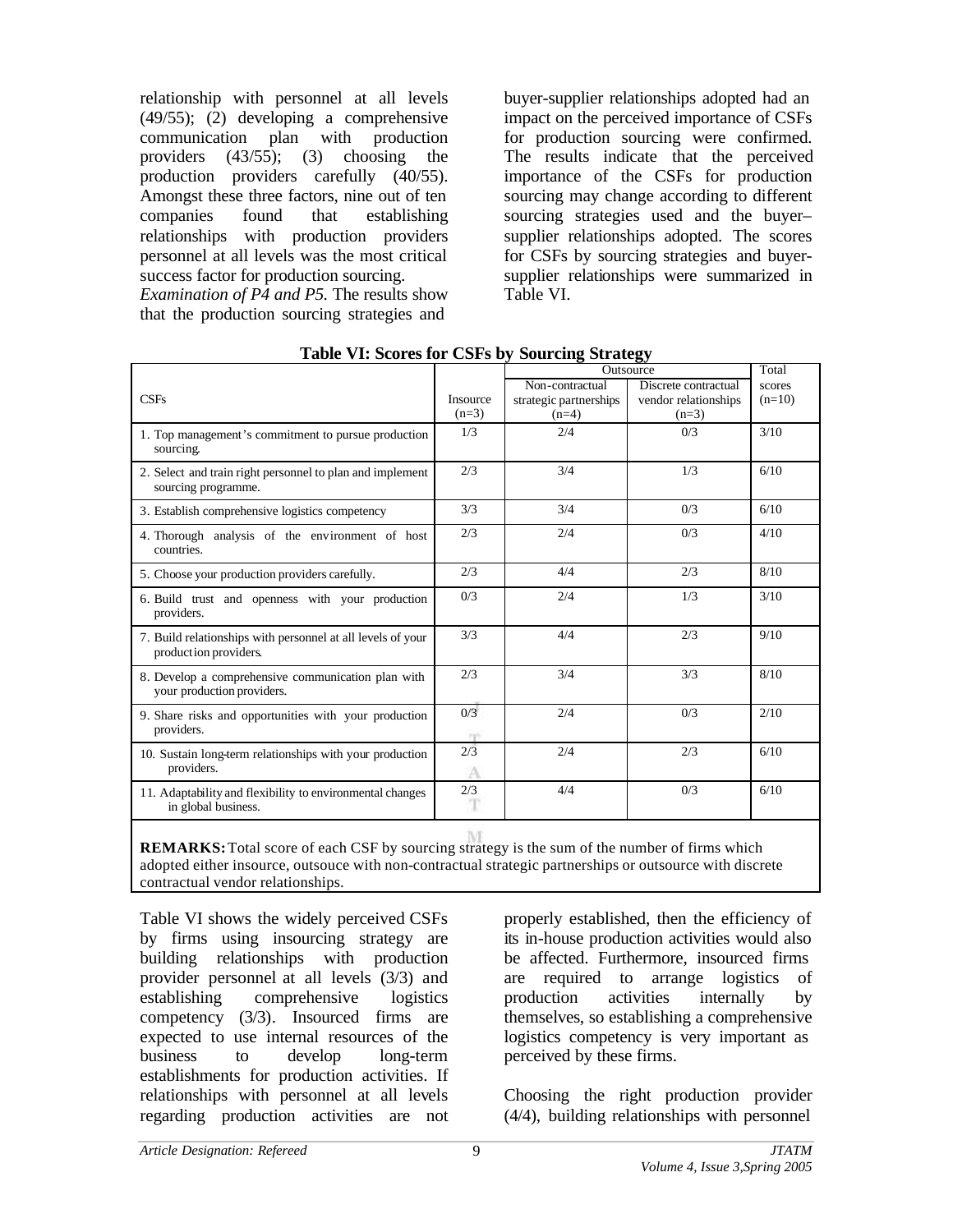relationship with personnel at all levels (49/55); (2) developing a comprehensive communication plan with production providers  $(43/55)$ ; (3) choosing the production providers carefully (40/55). Amongst these three factors, nine out of ten companies found that establishing relationships with production providers personnel at all levels was the most critical success factor for production sourcing.

*Examination of P4 and P5.* The results show that the production sourcing strategies and

buyer-supplier relationships adopted had an impact on the perceived importance of CSFs for production sourcing were confirmed. The results indicate that the perceived importance of the CSFs for production sourcing may change according to different sourcing strategies used and the buyer– supplier relationships adopted. The scores for CSFs by sourcing strategies and buyersupplier relationships were summarized in Table VI.

|                                                                                      |                 | Outsource              | Total                |          |
|--------------------------------------------------------------------------------------|-----------------|------------------------|----------------------|----------|
|                                                                                      |                 | Non-contractual        | Discrete contractual | scores   |
| CSFs                                                                                 | <b>Insource</b> | strategic partnerships | vendor relationships | $(n=10)$ |
|                                                                                      | $(n=3)$         | $(n=4)$                | $(n=3)$              |          |
| 1. Top management's commitment to pursue production<br>sourcing.                     | 1/3             | 2/4                    | 0/3                  | 3/10     |
| 2. Select and train right personnel to plan and implement<br>sourcing programme.     | 2/3             | 3/4                    | 1/3                  | 6/10     |
| 3. Establish comprehensive logistics competency                                      | 3/3             | 3/4                    | 0/3                  | 6/10     |
| 4. Thorough analysis of the environment of host<br>countries.                        | 2/3             | 2/4                    | 0/3                  | 4/10     |
| 5. Choose your production providers carefully.                                       | 2/3             | 4/4                    | 2/3                  | 8/10     |
| 6. Build trust and openness with your production<br>providers.                       | 0/3             | 2/4                    | 1/3                  | 3/10     |
| 7. Build relationships with personnel at all levels of your<br>production providers. | 3/3             | 4/4                    | 2/3                  | 9/10     |
| 8. Develop a comprehensive communication plan with<br>your production providers.     | 2/3             | 3/4                    | 3/3                  | 8/10     |
| 9. Share risks and opportunities with your production<br>providers.                  | 0/3<br>m        | 2/4                    | 0/3                  | 2/10     |
| 10. Sustain long-term relationships with your production<br>providers.               | 2/3<br>A        | 2/4                    | 2/3                  | 6/10     |
| 11. Adaptability and flexibility to environmental changes<br>in global business.     | 2/3             | 4/4                    | 0/3                  | 6/10     |

|  |  |  | Table VI: Scores for CSFs by Sourcing Strategy |  |
|--|--|--|------------------------------------------------|--|
|  |  |  |                                                |  |

**REMARKS:** Total score of each CSF by sourcing strategy is the sum of the number of firms which adopted either insource, outsouce with non-contractual strategic partnerships or outsource with discrete contractual vendor relationships.

Table VI shows the widely perceived CSFs by firms using insourcing strategy are building relationships with production provider personnel at all levels (3/3) and establishing comprehensive logistics competency (3/3). Insourced firms are expected to use internal resources of the business to develop long-term establishments for production activities. If relationships with personnel at all levels regarding production activities are not properly established, then the efficiency of its in-house production activities would also be affected. Furthermore, insourced firms are required to arrange logistics of production activities internally by themselves, so establishing a comprehensive logistics competency is very important as perceived by these firms.

Choosing the right production provider (4/4), building relationships with personnel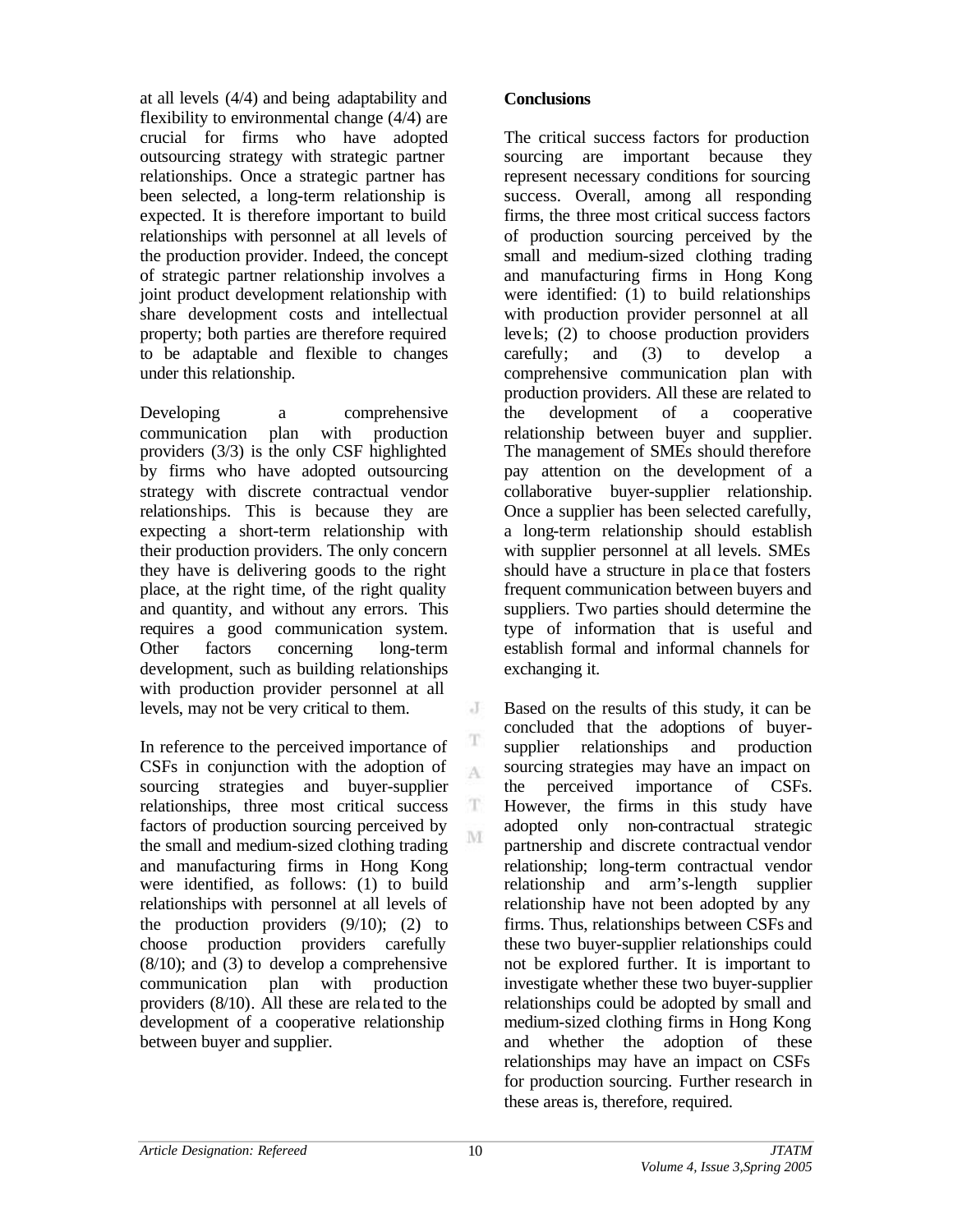at all levels (4/4) and being adaptability and flexibility to environmental change (4/4) are crucial for firms who have adopted outsourcing strategy with strategic partner relationships. Once a strategic partner has been selected, a long-term relationship is expected. It is therefore important to build relationships with personnel at all levels of the production provider. Indeed, the concept of strategic partner relationship involves a joint product development relationship with share development costs and intellectual property; both parties are therefore required to be adaptable and flexible to changes under this relationship.

Developing a comprehensive communication plan with production providers  $(3/3)$  is the only CSF highlighted by firms who have adopted outsourcing strategy with discrete contractual vendor relationships. This is because they are expecting a short-term relationship with their production providers. The only concern they have is delivering goods to the right place, at the right time, of the right quality and quantity, and without any errors. This requires a good communication system. Other factors concerning long-term development, such as building relationships with production provider personnel at all levels, may not be very critical to them.

In reference to the perceived importance of CSFs in conjunction with the adoption of sourcing strategies and buyer-supplier relationships, three most critical success factors of production sourcing perceived by the small and medium-sized clothing trading and manufacturing firms in Hong Kong were identified, as follows: (1) to build relationships with personnel at all levels of the production providers  $(9/10)$ ;  $(2)$  to choose production providers carefully  $(8/10)$ ; and  $(3)$  to develop a comprehensive communication plan with production providers (8/10). All these are rela ted to the development of a cooperative relationship between buyer and supplier.

## **Conclusions**

The critical success factors for production sourcing are important because they represent necessary conditions for sourcing success. Overall, among all responding firms, the three most critical success factors of production sourcing perceived by the small and medium-sized clothing trading and manufacturing firms in Hong Kong were identified: (1) to build relationships with production provider personnel at all levels; (2) to choose production providers carefully; and (3) to develop a comprehensive communication plan with production providers. All these are related to the development of a cooperative relationship between buyer and supplier. The management of SMEs should therefore pay attention on the development of a collaborative buyer-supplier relationship. Once a supplier has been selected carefully, a long-term relationship should establish with supplier personnel at all levels. SMEs should have a structure in pla ce that fosters frequent communication between buyers and suppliers. Two parties should determine the type of information that is useful and establish formal and informal channels for exchanging it.

Based on the results of this study, it can be concluded that the adoptions of buyersupplier relationships and production sourcing strategies may have an impact on the perceived importance of CSFs. However, the firms in this study have adopted only non-contractual strategic partnership and discrete contractual vendor relationship; long-term contractual vendor relationship and arm's-length supplier relationship have not been adopted by any firms. Thus, relationships between CSFs and these two buyer-supplier relationships could not be explored further. It is important to investigate whether these two buyer-supplier relationships could be adopted by small and medium-sized clothing firms in Hong Kong and whether the adoption of these relationships may have an impact on CSFs for production sourcing. Further research in these areas is, therefore, required.

J

T A

T M